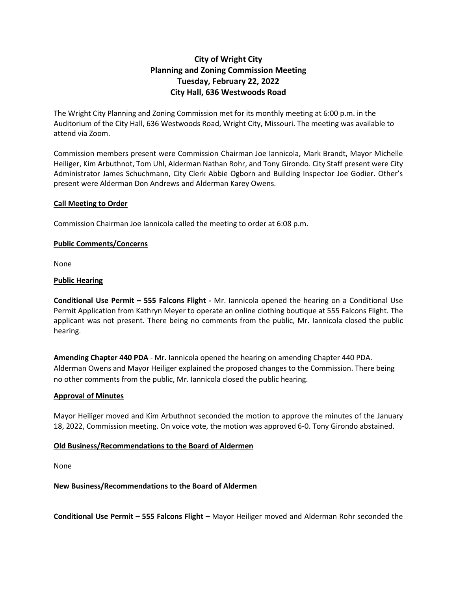# **City of Wright City Planning and Zoning Commission Meeting Tuesday, February 22, 2022 City Hall, 636 Westwoods Road**

The Wright City Planning and Zoning Commission met for its monthly meeting at 6:00 p.m. in the Auditorium of the City Hall, 636 Westwoods Road, Wright City, Missouri. The meeting was available to attend via Zoom.

Commission members present were Commission Chairman Joe Iannicola, Mark Brandt, Mayor Michelle Heiliger, Kim Arbuthnot, Tom Uhl, Alderman Nathan Rohr, and Tony Girondo. City Staff present were City Administrator James Schuchmann, City Clerk Abbie Ogborn and Building Inspector Joe Godier. Other's present were Alderman Don Andrews and Alderman Karey Owens.

# **Call Meeting to Order**

Commission Chairman Joe Iannicola called the meeting to order at 6:08 p.m.

# **Public Comments/Concerns**

None

# **Public Hearing**

**Conditional Use Permit – 555 Falcons Flight -** Mr. Iannicola opened the hearing on a Conditional Use Permit Application from Kathryn Meyer to operate an online clothing boutique at 555 Falcons Flight. The applicant was not present. There being no comments from the public, Mr. Iannicola closed the public hearing.

**Amending Chapter 440 PDA** - Mr. Iannicola opened the hearing on amending Chapter 440 PDA. Alderman Owens and Mayor Heiliger explained the proposed changes to the Commission. There being no other comments from the public, Mr. Iannicola closed the public hearing.

#### **Approval of Minutes**

Mayor Heiliger moved and Kim Arbuthnot seconded the motion to approve the minutes of the January 18, 2022, Commission meeting. On voice vote, the motion was approved 6-0. Tony Girondo abstained.

#### **Old Business/Recommendations to the Board of Aldermen**

None

# **New Business/Recommendations to the Board of Aldermen**

**Conditional Use Permit – 555 Falcons Flight –** Mayor Heiliger moved and Alderman Rohr seconded the